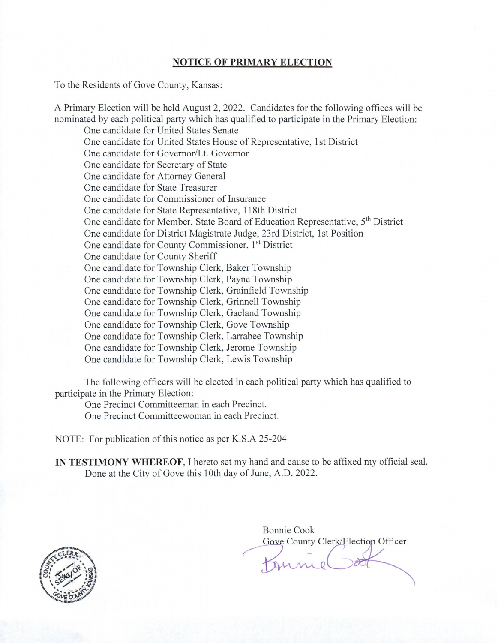#### **NOTICE OF PRIMARY ELECTION**

To the Residents of Gove County, Kansas:

A Primary Election will be held August 2, 2022. Candidates for the following offices will be nominated by each political party which has qualified to participate in the Primary Election: One candidate for United States Senate One candidate for United States House of Representative, 1st District One candidate for Governor/Lt. Governor One candidate for Secretary of State One candidate for Attorney General One candidate for State Treasurer One candidate for Commissioner of Insurance One candidate for State Representative, 118th District One candidate for Member, State Board of Education Representative, 5<sup>th</sup> District One candidate for District Magistrate Judge, 23rd District, 1st Position One candidate for County Commissioner, 1st District One candidate for County Sheriff One candidate for Township Clerk, Baker Township One candidate for Township Clerk, Payne Township One candidate for Township Clerk, Grainfield Township One candidate for Township Clerk, Grinnell Township One candidate for Township Clerk, Gaeland Township One candidate for Township Clerk, Gove Township One candidate for Township Clerk, Larrabee Township One candidate for Township Clerk, Jerome Township One candidate for Township Clerk, Lewis Township

The following officers will be elected in each political party which has qualified to participate in the Primary Election:

One Precinct Committeeman in each Precinct. One Precinct Committeewoman in each Precinct.

NOTE: For publication of this notice as per K.S.A 25-204

IN TESTIMONY WHEREOF, I hereto set my hand and cause to be affixed my official seal. Done at the City of Gove this 10th day of June, A.D. 2022.



Bonnie Cook Gove County Clerk/Election Officer tonne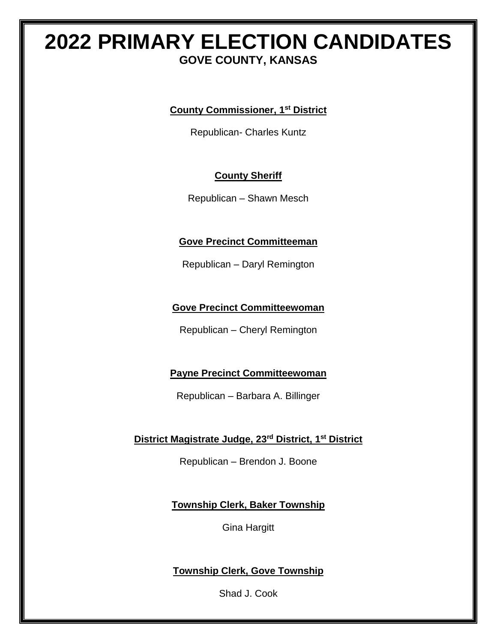### **2022 PRIMARY ELECTION CANDIDATES GOVE COUNTY, KANSAS**

**County Commissioner, 1st District**

Republican- Charles Kuntz

#### **County Sheriff**

Republican – Shawn Mesch

#### **Gove Precinct Committeeman**

Republican – Daryl Remington

#### **Gove Precinct Committeewoman**

Republican – Cheryl Remington

#### **Payne Precinct Committeewoman**

Republican – Barbara A. Billinger

#### **District Magistrate Judge, 23rd District, 1st District**

Republican – Brendon J. Boone

**Township Clerk, Baker Township**

Gina Hargitt

#### **Township Clerk, Gove Township**

Shad J. Cook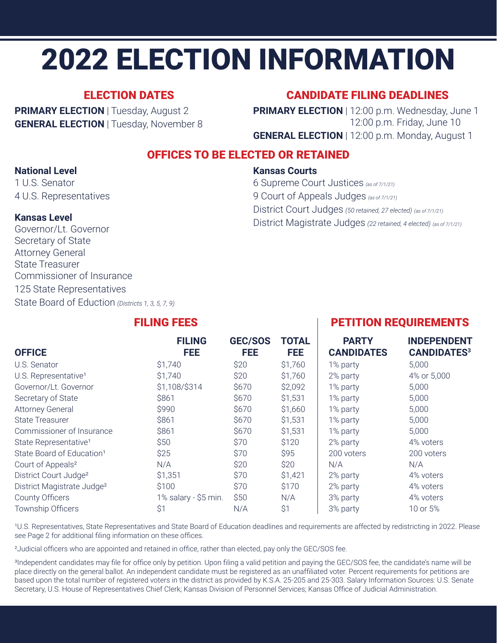# 2022 ELECTION INFORMATION

#### ELECTION DATES

**PRIMARY ELECTION** | Tuesday, August 2 **GENERAL ELECTION** | Tuesday, November 8

#### CANDIDATE FILING DEADLINES

**PRIMARY ELECTION** | 12:00 p.m. Wednesday, June 1 12:00 p.m. Friday, June 10 **GENERAL ELECTION** | 12:00 p.m. Monday, August 1

#### OFFICES TO BE ELECTED OR RETAINED

#### **National Level**

1 U.S. Senator 4 U.S. Representatives

#### **Kansas Courts**

6 Supreme Court Justices *(as of 7/1/21)* 9 Court of Appeals Judges *(as of 7/1/21)* District Court Judges *(50 retained, 27 elected) (as of 7/1/21)* District Magistrate Judges *(22 retained, 4 elected) (as of 7/1/21)*

#### **Kansas Level**

Governor/Lt. Governor Secretary of State Attorney General State Treasurer Commissioner of Insurance 125 State Representatives State Board of Eduction *(Districts 1, 3, 5, 7, 9)*

#### FILING FEES PETITION REQUIREMENTS

| <b>OFFICE</b>                          | <b>FILING</b><br><b>FEE</b> | GEC/SOS<br>FEE | <b>TOTAL</b><br><b>FEE</b> | <b>PARTY</b><br><b>CANDIDATES</b> | <b>INDEPENDENT</b><br><b>CANDIDATES3</b> |
|----------------------------------------|-----------------------------|----------------|----------------------------|-----------------------------------|------------------------------------------|
| U.S. Senator                           | \$1,740                     | \$20           | \$1,760                    | 1% party                          | 5,000                                    |
| U.S. Representative <sup>1</sup>       | \$1,740                     | \$20           | \$1,760                    | 2% party                          | 4% or 5,000                              |
| Governor/Lt. Governor                  | \$1,108/\$314               | \$670          | \$2,092                    | 1% party                          | 5,000                                    |
| Secretary of State                     | \$861                       | \$670          | \$1,531                    | 1% party                          | 5,000                                    |
| <b>Attorney General</b>                | \$990                       | \$670          | \$1,660                    | 1% party                          | 5,000                                    |
| <b>State Treasurer</b>                 | \$861                       | \$670          | \$1,531                    | 1% party                          | 5,000                                    |
| Commissioner of Insurance              | \$861                       | \$670          | \$1,531                    | 1% party                          | 5,000                                    |
| State Representative <sup>1</sup>      | \$50                        | \$70           | \$120                      | 2% party                          | 4% voters                                |
| State Board of Education <sup>1</sup>  | \$25                        | \$70           | \$95                       | 200 voters                        | 200 voters                               |
| Court of Appeals <sup>2</sup>          | N/A                         | \$20           | \$20                       | N/A                               | N/A                                      |
| District Court Judge <sup>2</sup>      | \$1,351                     | \$70           | \$1,421                    | 2% party                          | 4% voters                                |
| District Magistrate Judge <sup>2</sup> | \$100                       | \$70           | \$170                      | 2% party                          | 4% voters                                |
| <b>County Officers</b>                 | 1% salary - \$5 min.        | \$50           | N/A                        | 3% party                          | 4% voters                                |
| Township Officers                      | \$1                         | N/A            | \$1                        | 3% party                          | 10 or 5%                                 |

<sup>1</sup>U.S. Representatives, State Representatives and State Board of Education deadlines and requirements are affected by redistricting in 2022. Please see Page 2 for additional filing information on these offices.

²Judicial officers who are appointed and retained in office, rather than elected, pay only the GEC/SOS fee.

<sup>3</sup>Independent candidates may file for office only by petition. Upon filing a valid petition and paying the GEC/SOS fee, the candidate's name will be place directly on the general ballot. An independent candidate must be registered as an unaffiliated voter. Percent requirements for petitions are based upon the total number of registered voters in the district as provided by K.S.A. 25-205 and 25-303. Salary Information Sources: U.S. Senate Secretary, U.S. House of Representatives Chief Clerk; Kansas Division of Personnel Services; Kansas Office of Judicial Administration.